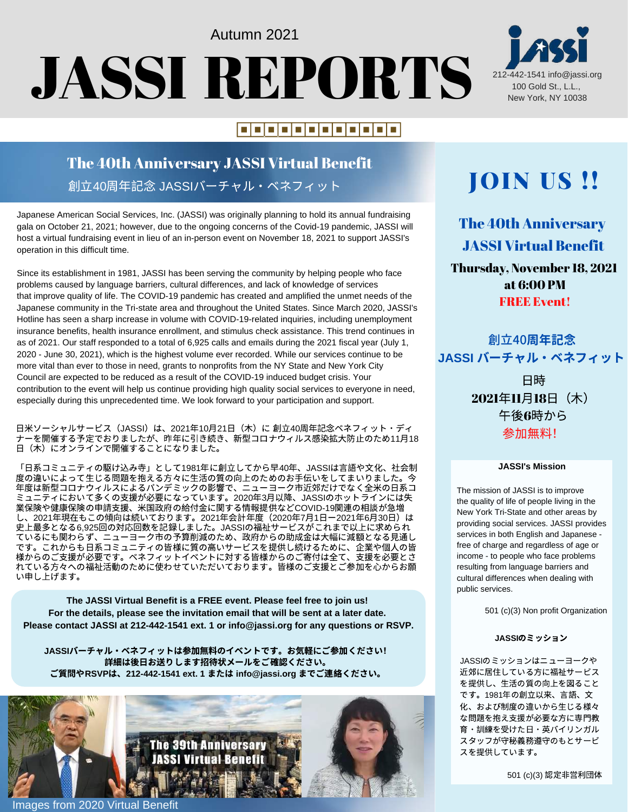# Autumn 2021 JASSI REPORTS

### |=|=|=|=|=|=|=|=|=|=|=|=|

### The 40th Anniversary JASSI Virtual Benefit 創立40周年記念 JASSIバーチャル・ベネフィット

Japanese American Social Services, Inc. (JASSI) was originally planning to hold its annual fundraising gala on October 21, 2021; however, due to the ongoing concerns of the Covid-19 pandemic, JASSI will host a virtual fundraising event in lieu of an in-person event on November 18, 2021 to support JASSI's operation in this difficult time.

Since its establishment in 1981, JASSI has been serving the community by helping people who face problems caused by language barriers, cultural differences, and lack of knowledge of services that improve quality of life. The COVID-19 pandemic has created and amplified the unmet needs of the Japanese community in the Tri-state area and throughout the United States. Since March 2020, JASSI's Hotline has seen a sharp increase in volume with COVID-19-related inquiries, including unemployment insurance benefits, health insurance enrollment, and stimulus check assistance. This trend continues in as of 2021. Our staff responded to a total of 6,925 calls and emails during the 2021 fiscal year (July 1, 2020 - June 30, 2021), which is the highest volume ever recorded. While our services continue to be more vital than ever to those in need, grants to nonprofits from the NY State and New York City Council are expected to be reduced as a result of the COVID-19 induced budget crisis. Your contribution to the event will help us continue providing high quality social services to everyone in need, especially during this unprecedented time. We look forward to your participation and support.

日米ソーシャルサービス(JASSI)は、2021年10月21日(木)に 創立40周年記念ベネフィット・ディ ナーを開催する予定でおりましたが、昨年に引き続き、新型コロナウィルス感染拡⼤防⽌のため11⽉18 日(木)にオンラインで開催することになりました。

「日系コミュニティの駆け込み寺」として1981年に創立してから早40年、JASSIは言語や文化、社会制 度の違いによって⽣じる問題を抱える⽅々に⽣活の質の向上のためのお⼿伝いをしてまいりました。今 年度は新型コロナウィルスによるパンデミックの影響で、ニューヨーク市近郊だけでなく全米の日系コ ミュニティにおいて多くの支援が必要になっています。2020年3月以降、JASSIのホットラインには失 業保険や健康保険の申請支援、米国政府の給付金に関する情報提供などCOVID-19関連の相談が急増 し、2021年現在もこの傾向は続いております。2021年会計年度(2020年7月1日ー2021年6月30日)は 史上最多となる6,925回の対応回数を記録しました。JASSIの福祉サービスがこれまで以上に求められ ているにも関わらず、ニューヨーク市の予算削減のため、政府からの助成⾦は⼤幅に減額となる⾒通し です。これからも⽇系コミュニティの皆様に質の⾼いサービスを提供し続けるために、企業や個⼈の皆 様からのご支援が必要です。ベネフィットイベントに対する皆様からのご寄付は全て、支援を必要とさ れている方々への福祉活動のために使わせていただいております。皆様のご支援とご参加を心からお願 い申し上げます。

**The JASSI Virtual Benefit is a FREE event. Please feel free to join us! For the details, please see the invitation email that will be sent at a later date. Please contact JASSI at 212-442-1541 ext. 1 or info@jassi.org for any questions or RSVP.**

**JASSI**バーチャル・ベネフィットは参加無料のイベントです。お気軽にご参加ください! 詳細は後⽇お送りします招待状メールをご確認ください。 ご質問や**RSVP**は、**212-442-1541 ext. 1** または **info@jassi.org** までご連絡ください。



**The 39th Anniversary IASSI Virtual** Renefi





## JOIN US !!

The 40th Anniversary JASSI Virtual Benefit Thursday, November 18, 2021 at 6:00 PM **FREE Event!** 

創立40**周年記念 JASSI** バーチャル・ベネフィット

> 日時 2021年11月18日 (木) 午後6時から 参加無料!

#### **JASSI's Mission**

The mission of JASSI is to improve the quality of life of people living in the New York Tri-State and other areas by providing social services. JASSI provides services in both English and Japanese free of charge and regardless of age or income - to people who face problems resulting from language barriers and cultural differences when dealing with public services.

501 (c)(3) Non profit Organization

#### **JASSI**のミッション

JASSIのミッションはニューヨークや 近郊に居住している方に福祉サービス を提供し、⽣活の質の向上を図ること です。1981年の創立以来、言語、文 化、および制度の違いから⽣じる様々 な問題を抱え支援が必要な方に専門教 育・訓練を受けた⽇・英バイリンガル スタッフが守秘義務遵守のもとサービ スを提供しています。

501 (c)(3) 認定非営利団体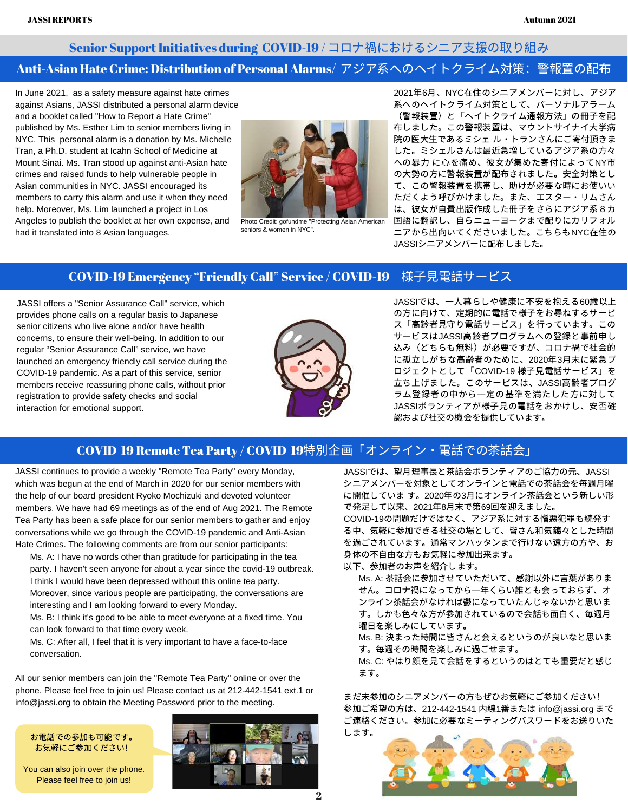### Senior Support Initiatives during COVID-19 / コロナ禍におけるシニア支援の取り組み Anti-Asian Hate Crime: Distribution of Personal Alarms/ アジア系へのヘイトクライム対策:警報置の配布

In June 2021, as a safety measure against hate crimes against Asians, JASSI distributed a personal alarm device and a booklet called "How to Report a Hate Crime" published by Ms. Esther Lim to senior members living in NYC. This personal alarm is a donation by Ms. Michelle Tran, a Ph.D. student at Icahn School of Medicine at Mount Sinai. Ms. Tran stood up against anti-Asian hate crimes and raised funds to help vulnerable people in Asian communities in NYC. JASSI encouraged its members to carry this alarm and use it when they need help. Moreover, Ms. Lim launched a project in Los Angeles to publish the booklet at her own expense, and had it translated into 8 Asian languages.



Photo Credit: gofundme "Protecting Asian American seniors & women in NYC".

2021年6月、NYC在住のシニアメンバーに対し、アジア 系へのヘイトクライム対策として、パーソナルアラーム (警報装置)と「へイトクライム通報⽅法」の冊⼦を配 布しました。この警報装置は、マウントサイナイ⼤学病 院の医⼤⽣であるミシェ ル・トランさんにご寄付頂きま した。ミシェルさんは最近急増しているアジア系の方々 への暴力に心を痛め、彼女が集めた寄付によってNY市 の大勢の方に警報装置が配布されました。安全対策とし て、この警報装置を携帯し、助けが必要な時にお使いい ただくよう呼びかけました。また、エスター・リムさん は、彼女が自費出版作成した冊子をさらにアジア系8カ 国語に翻訳し、⾃らニューヨークまで配りにカリフォル ニアから出向いてくださいました。こちらもNYC在住の JASSIシニアメンバーに配布しました。

### COVID-19 Emergency "Friendly Call" Service / COVID-19 様子見電話サービス

JASSI offers a "Senior Assurance Call" service, which provides phone calls on a regular basis to Japanese senior citizens who live alone and/or have health concerns, to ensure their well-being. In addition to our regular "Senior Assurance Call" service, we have launched an emergency friendly call service during the COVID-19 pandemic. As a part of this service, senior members receive reassuring phone calls, without prior registration to provide safety checks and social interaction for emotional support.



JASSIでは、⼀⼈暮らしや健康に不安を抱える60歳以上 の方に向けて、定期的に電話で様子をお尋ねするサービ ス「高齢者見守り電話サービス」を行っています。この サービスはJASSI⾼齢者プログラムへの登録と事前申し 込み(どちらも無料)が必要ですが、コロナ禍で社会的 に孤立しがちな高齢者のために、2020年3月末に緊急プ ロジェクトとして「COVID-19 様子見電話サービス」を 立ち上げました。このサービスは、JASSI高齢者プログ ラム登録者の中から一定の基準を満たした方に対して JASSIボランティアが様子見の電話をおかけし、安否確 認および社交の機会を提供しています。

### COVID-19 Remote Tea Party / COVID-19特別企画「オンライン・電話での茶話会」

JASSI continues to provide a weekly "Remote Tea Party" every Monday, which was begun at the end of March in 2020 for our senior members with the help of our board president Ryoko Mochizuki and devoted volunteer members. We have had 69 meetings as of the end of Aug 2021. The Remote Tea Party has been a safe place for our senior members to gather and enjoy conversations while we go through the COVID-19 pandemic and Anti-Asian Hate Crimes. The following comments are from our senior participants:

Ms. A: I have no words other than gratitude for participating in the tea party. I haven't seen anyone for about a year since the covid-19 outbreak. I think I would have been depressed without this online tea party. Moreover, since various people are participating, the conversations are interesting and I am looking forward to every Monday.

Ms. B: I think it's good to be able to meet everyone at a fixed time. You can look forward to that time every week.

Ms. C: After all, I feel that it is very important to have a face-to-face conversation.

All our senior members can join the "Remote Tea Party" online or over the phone. Please feel free to join us! Please contact us at 212-442-1541 ext.1 or info@jassi.org to obtain the Meeting Password prior to the meeting.

お電話での参加も可能です。 お気軽にご参加ください!

You can also join over the phone. Please feel free to join us!



JASSIでは、望月理事長と茶話会ボランティアのご協力の元、JASSI シニアメンバーを対象としてオンラインと電話での茶話会を毎週月曜 に開催していま す。2020年の3⽉にオンライン茶話会という新しい形 で発⾜して以来、2021年8⽉末で第69回を迎えました。 COVID-19の問題だけではなく、アジア系に対する憎悪犯罪も続発す る中、気軽に参加できる社交の場として、皆さん和気藹々とした時間

を過ごされています。通常マンハッタンまで行けない遠方の方や、お ⾝体の不⾃由な⽅もお気軽に参加出来ます。

以下、参加者のお声を紹介します。

Ms. A: 茶話会に参加させていただいて、感謝以外に言葉がありま せん。コロナ禍になってから⼀年くらい誰とも会っておらず、オ ンライン茶話会がなければ鬱になっていたんじゃないかと思いま す。しかも色々な方が参加されているので会話も面白く、毎週月 曜日を楽しみにしています。

Ms. B: 決まった時間に皆さんと会えるというのが良いなと思いま す。毎週その時間を楽しみに過ごせます。

Ms. C: やはり顔を見て会話をするというのはとても重要だと感じ ます。

まだ未参加のシニアメンバーの方もぜひお気軽にご参加ください! 参加ご希望の⽅は、212-442-1541 内線1番または info@jassi.org まで ご連絡ください。参加に必要なミーティングパスワードをお送りいた します。

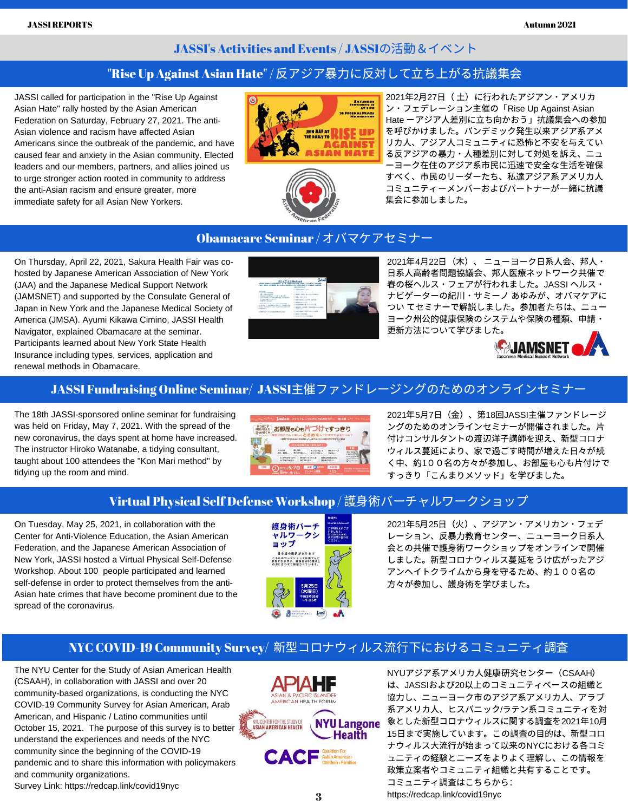### JASSI's Activities and Events / JASSIの活動&イベント

### "Rise Up Against Asian Hate" / 反アジア暴力に反対して立ち上がる抗議集会

JASSI called for participation in the "Rise Up Against Asian Hate" rally hosted by the Asian American Federation on Saturday, February 27, 2021. The anti-Asian violence and racism have affected Asian Americans since the outbreak of the pandemic, and have caused fear and anxiety in the Asian community. Elected leaders and our members, partners, and allies joined us to urge stronger action rooted in community to address the anti-Asian racism and ensure greater, more immediate safety for all Asian New Yorkers.





2021年2月27日 (土)に行われたアジアン・アメリカ ン・フェデレーション主催の「Rise Up Against Asian Hate ーアジア人差別に立ち向かおう」抗議集会への参加 を呼びかけました。パンデミック発⽣以来アジア系アメ リカ⼈、アジア⼈コミュニティに恐怖と不安を与えてい る反アジアの暴力・人種差別に対して対処を訴え、ニュ ーヨーク在住のアジア系市⺠に迅速で安全な⽣活を確保 すべく、市民のリーダーたち、私達アジア系アメリカ人 コミュニティーメンバーおよびパートナーが一緒に抗議 集会に参加しました。

### Obamacare Seminar / オバマケアセミナー

On Thursday, April 22, 2021, Sakura Health Fair was cohosted by Japanese American Association of New York (JAA) and the Japanese Medical Support Network (JAMSNET) and supported by the Consulate General of Japan in New York and the Japanese Medical Society of America (JMSA). Ayumi Kikawa Cimino, JASSI Health Navigator, explained Obamacare at the seminar. Participants learned about New York State Health Insurance including types, services, application and renewal methods in Obamacare.



2021年4月22日 (木)、ニューヨーク日系人会、邦人・ 日系人高齢者問題協議会、邦人医療ネットワーク共催で 春の桜ヘルス・フェアが⾏われました。JASSI ヘルス・ ナビゲーターの紀川・サミーノ あゆみが、オバマケアに つい てセミナーで解説しました。参加者たちは、ニュー ヨーク州公的健康保険のシステムや保険の種類、申請・ 更新⽅法について学びました。



### JASSI Fundraising Online Seminar/ JASSI主催ファンドレージングのためのオンラインセミナー

The 18th JASSI-sponsored online seminar for fundraising was held on Friday, May 7, 2021. With the spread of the new coronavirus, the days spent at home have increased. The instructor Hiroko Watanabe, a tidying consultant, taught about 100 attendees the "Kon Mari method" by tidying up the room and mind.



2021年5月7日 (金)、第18回JASSI主催ファンドレージ ングのためのオンラインセミナーが開催されました。片 付けコンサルタントの渡辺洋子講師を迎え、新型コロナ ウィルス蔓延により、家で過ごす時間が増えた⽇々が続 く中、約100名の方々が参加し、お部屋も心も片付けで すっきり「こんまりメソッド」を学びました。

### Virtual Physical Self Defense Workshop / 護身術バーチャルワークショップ

On Tuesday, May 25, 2021, in collaboration with the Center for Anti-Violence Education, the Asian American Federation, and the Japanese American Association of New York, JASSI hosted a Virtual Physical Self-Defense Workshop. About 100 people participated and learned self-defense in order to protect themselves from the anti-Asian hate crimes that have become prominent due to the spread of the coronavirus.



2021年5⽉25⽇(⽕)、アジアン・アメリカン・フェデ レーション、反暴力教育センター、ニューヨーク日系人 会との共催で護⾝術ワークショップをオンラインで開催 しました。新型コロナウィルス蔓延をうけ広がったアジ アンヘイトクライムから⾝を守るため、約100名の 方々が参加し、護身術を学びました。

### NYC COVID-19 Community Survey/ 新型コロナウィルス流行下におけるコミュニティ調査

The NYU Center for the Study of Asian American Health (CSAAH), in collaboration with JASSI and over 20 community-based organizations, is conducting the NYC COVID-19 Community Survey for Asian American, Arab American, and Hispanic / Latino communities until October 15, 2021. The purpose of this survey is to better understand the experiences and needs of the NYC community since the beginning of the COVID-19 pandemic and to share this information with policymakers and community organizations. Survey Link: [https://redcap.link/covid19nyc](https://urldefense.com/v3/__https:/redcap.link/covid19nyc__;!!MXfaZl3l!IXG3W4ASCeTSeJ-4C23LyY9KhflCTIwcM2Xq91SlgRkAJglmd0orpv7My53SUgpQYQ%24)



NYU[アジア系アメリカ⼈健康研究センター\(](https://med.nyu.edu/departments-institutes/population-health/divisions-sections-centers/health-behavior/section-health-equity/research/center-the-study-asian-american-health)[CSAAH](https://med.nyu.edu/departments-institutes/population-health/divisions-sections-centers/health-behavior/section-health-equity/research/center-the-study-asian-american-health)) は、JASSIおよび20以上のコミュニティベースの組織と 協⼒し、ニューヨーク市のアジア系アメリカ⼈、アラブ 系アメリカ人、ヒスパニック/ラテン系コミュニティを対 NYU Langone 象とし[た新型コロナウィルスに関する調査を](https://redcap.link/covid19nyc)2021年10月 15日まで実施しています。この調査の目的は、新型コロ ナウィルス⼤流⾏が始まって以来のNYCにおける各コミ ュニティの経験とニーズをよりよく理解し、この情報を 政策立案者やコミュニティ組織と共有することです。 コミュニティ調査はこちらから: <https://redcap.link/covid19nyc>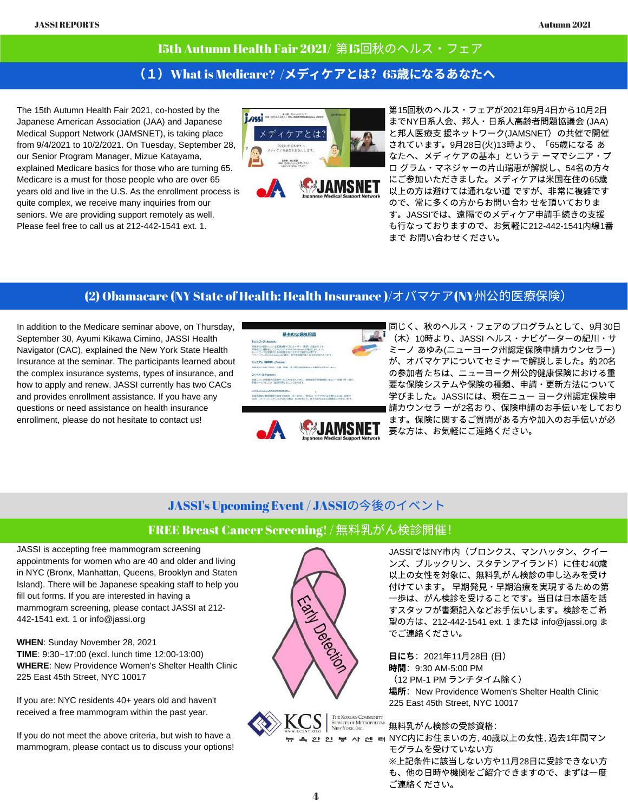### 15th Autumn Health Fair 2021/ 第15回秋のヘルス・フェア

### (1) What is Medicare? /メディケアとは? 65歳になるあなたへ

The 15th Autumn Health Fair 2021, co-hosted by the Japanese American Association (JAA) and Japanese Medical Support Network (JAMSNET), is taking place from 9/4/2021 to 10/2/2021. On Tuesday, September 28, our Senior Program Manager, Mizue Katayama, explained Medicare basics for those who are turning 65. Medicare is a must for those people who are over 65 years old and live in the U.S. As the enrollment process is quite complex, we receive many inquiries from our seniors. We are providing support remotely as well. Please feel free to call us at 212-442-1541 ext. 1.





第15回秋のヘルス・フェアが2021年9月4日から10月2日 までNY日系人会、邦人・日系人高齢者問題協議会 (JAA) と邦⼈医療⽀ 援ネットワーク(JAMSNET)の共催で開催 されています。9⽉28⽇(⽕)13時より、「65歳になる あ なたへ、メデ ィケアの基本」というテ ーマでシニア・プ ログラム・マネジャーの片山瑞恵が解説し、54名の方々 にご参加いただきました。メディケアは⽶国在住の65歳 以上の方は避けては通れない道ですが、非常に複雑です ので、常に多くの方からお問い合わせを頂いておりま す。JASSIでは、遠隔でのメディケア申請手続きの支援 も⾏なっておりますので、お気軽に212-442-1541内線1番 まで お問い合わせください。

#### (2) Obamacare (NY State of Health: Health Insurance )/オバマケア(NY州公的医療保険)

In addition to the Medicare seminar above, on Thursday, September 30, Ayumi Kikawa Cimino, JASSI Health Navigator (CAC), explained the New York State Health Insurance at the seminar. The participants learned about the complex insurance systems, types of insurance, and how to apply and renew. JASSI currently has two CACs and provides enrollment assistance. If you have any questions or need assistance on health insurance enrollment, please do not hesitate to contact us!





同じく、秋のヘルス・フェアのプログラムとして、9月30日 (⽊)10時より、JASSI ヘルス・ナビゲーターの紀川・サ ミーノ あゆみ(ニューヨーク州認定保険申請カウンセラー) が、オバマケアについてセミナーで解説しました。約20名 の参加者たちは、ニューヨーク州公的健康保険における重 要な保険システムや保険の種類、申請・更新⽅法について 学びました。JASSIには、現在ニュー ヨーク州認定保険申 請カウンセラ ーが2名おり、保険申請のお⼿伝いをしており ます。保険に関するご質問がある方や加入のお手伝いが必 要な⽅は、お気軽にご連絡ください。

### JASSI's Upcoming Event/ JASSIの今後のイベント

### FREE Breast Cancer Screening!/ 無料乳がん検診開催!

JASSI is accepting free mammogram screening appointments for women who are 40 and older and living in NYC (Bronx, Manhattan, Queens, Brooklyn and Staten Island). There will be Japanese speaking staff to help you fill out forms. If you are interested in having a mammogram screening, please contact JASSI at 212- 442-1541 ext. 1 or [info@jassi.org](mailto:info@jassi.org)

**WHEN**: Sunday November 28, 2021 **TIME**: 9:30~17:00 (excl. lunch time 12:00-13:00) **WHERE**: New Providence Women's Shelter Health Clinic 225 East 45th Street, NYC 10017

If you are: NYC residents 40+ years old and haven't received a free mammogram within the past year.

If you do not meet the above criteria, but wish to have a mammogram, please contact us to discuss your options!



JASSIではNY市内(ブロンクス、マンハッタン、クイー ンズ、ブルックリン、スタテンアイランド)に住む40歳 以上の⼥性を対象に、無料乳がん検診の申し込みを受け 付けています。 早期発⾒・早期治療を実現するための第 ⼀歩は、がん検診を受けることです。当⽇は⽇本語を話 すスタッフが書類記⼊などお⼿伝いします。検診をご希 望の⽅は、212-442-1541 ext. 1 または [info@jassi.org](mailto:info@jassi.org) ま でご連絡ください。

 $B(\mathcal{L})$  日にち: 2021年11♬28日 (日) 時間:9:30 AM-5:00 PM (12 PM-1 PM ランチタイム除く) 場所: New Providence Women's Shelter Health Clinic 225 East 45th Street, NYC 10017

The Korean Community<br>Services of Metropolitan<br>New York, Inc. 無料乳がん検診の受診資格:

4 2 2 % A 2 % AYC内にお住まいの方, 40歳以上の女性, 過去1年間マン モグラムを受けていない方 ※上記条件に該当しない方や11月28日に受診できない方

も、他の日時や機関をご紹介できますので、まずは一度 ご連絡ください。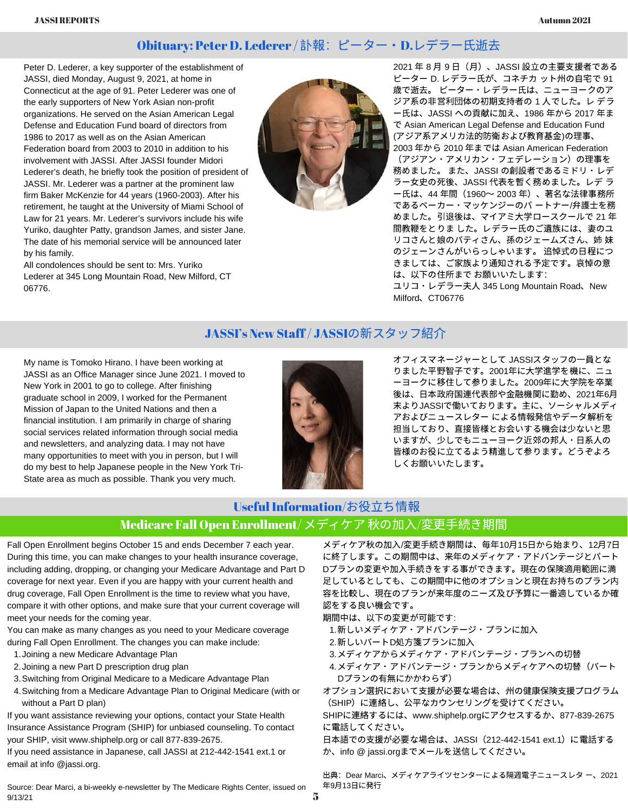### Obituary: Peter D. Lederer / 訃報:ピーター·D.レデラー氏逝去

Peter D. Lederer, a key supporter of the establishment of JASSI, died Monday, August 9, 2021, at home in Connecticut at the age of 91. Peter Lederer was one of the early supporters of New York Asian non-profit organizations. He served on the Asian American Legal Defense and Education Fund board of directors from 1986 to 2017 as well as on the Asian American Federation board from 2003 to 2010 in addition to his involvement with JASSI. After JASSI founder Midori Lederer's death, he briefly took the position of president of JASSI. Mr. Lederer was a partner at the prominent law firm Baker McKenzie for 44 years (1960-2003). After his retirement, he taught at the University of Miami School of Law for 21 years. Mr. Lederer's survivors include his wife Yuriko, daughter Patty, grandson James, and sister Jane. The date of his memorial service will be announced later by his family.

All condolences should be sent to: Mrs. Yuriko Lederer at 345 Long Mountain Road, New Milford, CT 06776.



2021 年 8 月 9 日 (月)、JASSI 設立の主要支援者である ピーター D. レデラー⽒が、コネチカ ット州の⾃宅で 91 歳で逝去。 ピーター・レデラー⽒は、ニューヨークのア ジア系の非営利団体の初期支持者の1人でした。レデラ ー⽒は、JASSI への貢献に加え、1986 年から 2017 年ま で Asian American Legal Defense and Education Fund (アジア系アメリカ法的防衛および教育基⾦)の理事、 2003 年から 2010 年までは Asian American Federation

(アジアン・アメリカン・フェデレーション)の理事を 務めました。 また、JASSI の創設者であるミドリ・レデ ラー⼥史の死後、JASSI 代表を暫く務めました。レデ ラ ー⽒は、44 年間(1960〜 2003 年)、著名な法律事務所 であるベーカー・マッケンジーのパ ートナー/弁護士を務 めました。引退後は、マイアミ⼤学ロースクールで 21 年 間教鞭をとりま した。レデラー⽒のご遺族には、妻のユ リコさんと娘のパティさん、孫のジェームズさん、姉 妹 のジェーンさんがいらっしゃいます。 追悼式の⽇程につ きましては、ご家族より通知される予定です。哀悼の意 は、以下の住所まで お願いいたします:

ユリコ・レデラー夫⼈ 345 Long Mountain Road、New Milford、CT06776

### JASSI's New Staff/ JASSIの新スタッフ紹介

My name is Tomoko Hirano. I have been working at JASSI as an Office Manager since June 2021. I moved to New York in 2001 to go to college. After finishing graduate school in 2009, I worked for the Permanent Mission of Japan to the United Nations and then a financial institution. I am primarily in charge of sharing social services related information through social media and newsletters, and analyzing data. I may not have many opportunities to meet with you in person, but I will do my best to help Japanese people in the New York Tri-State area as much as possible. Thank you very much.



オフィスマネージャーとして JASSIスタッフの⼀員とな りました平野智⼦です。2001年に⼤学進学を機に、ニュ ーヨークに移住して参りました。2009年に⼤学院を卒業 後は、日本政府国連代表部や金融機関に勤め、2021年6月 末よりJASSIで働いております。主に、ソーシャルメディ アおよびニュースレター による情報発信やデータ解析を 担当しており、直接皆様とお会いする機会は少ないと思 いますが、少しでもニューヨーク近郊の邦人・日系人の 皆様のお役に⽴てるよう精進して参ります。どうぞよろ しくお願いいたします。

### Medicare Fall Open Enrollment/ メディケア 秋の加入/変更手続き期間 Useful Information/お役立ち情報

Fall [Open](https://medicarerights.us15.list-manage.com/track/click?u=1621f54a596f3717c22815356&id=72b4f94783&e=97ffe1577e) [Enrollment](https://medicarerights.us15.list-manage.com/track/click?u=1621f54a596f3717c22815356&id=72b4f94783&e=97ffe1577e) begins October 15 and ends December 7 each year. During this time, you can make changes to your health insurance coverage, including adding, dropping, or changing your Medicare Advantage and Part D coverage for next year. Even if you are happy with your current health and drug coverage, Fall Open Enrollment is the time to review what you have, compare it with other options, and make sure that your current coverage will meet your needs for the coming year.

You can make as many changes as you need to your Medicare coverage during Fall Open Enrollment. The changes you can make include:

- 1. Joining a new Medicare [Advantage](https://medicarerights.us15.list-manage.com/track/click?u=1621f54a596f3717c22815356&id=fe8d75b7af&e=97ffe1577e) Plan
- 2. Joining a new Part D [prescription](https://medicarerights.us15.list-manage.com/track/click?u=1621f54a596f3717c22815356&id=690cb436b9&e=97ffe1577e) drug plan
- Switching from Original Medicare to a Medicare Advantage Plan 3.
- Switching from a Medicare Advantage Plan to Original Medicare (with or 4. without a Part D plan)

If you want assistance reviewing your options, contact your State Health Insurance Assistance Program (SHIP) for unbiased counseling. To contact your SHIP, visit [www.shiphelp.org](https://medicarerights.us15.list-manage.com/track/click?u=1621f54a596f3717c22815356&id=0866219c58&e=97ffe1577e) or call 877-839-2675.

If you need assistance in Japanese, call JASSI at 212-442-1541 ext.1 or email at info @jassi.org.

Source: Dear Marci, a bi-weekly e-newsletter by The Medicare Rights Center, issued on 9/13/21

メディケア秋の加入/変更手続き期間は、毎年10月15日から始まり、12月7日 [に終了します。この期間中は、来年のメディケア・アドバンテージとパート](https://medicarerights.us15.list-manage.com/track/click?u=1621f54a596f3717c22815356&id=72b4f94783&e=97ffe1577e) Dプランの変更や加入手続きをする事ができます。現在の保険適用範囲に満 ⾜しているとしても、この期間中に他のオプションと現在お持ちのプラン内 容を比較し、現在のプランが来年度のニーズ及び予算に一番適しているか確 認をする良い機会です。

期間中は、以下の変更が可能です:

- 1.新しいメディケア・アドバンテージ・プランに加入
- 2.新しいパートD処方箋プランに加入
- メディケアからメディケア・アドバンテージ・プランへの切替 3.
- 4. メディケア・アドバンテージ・プランからメディケアへの切替(パート Dプランの有無にかかわらず)

オプション選択において支援が必要な場合は、州の健康保険支援プログラム (SHIP)に連絡し、公平なカウンセリングを受けてください。

SHIPに連絡するには、www.shiphelp.orgにアクセスするか、877-839-2675 に電話してください。

日本語での支援が必要な場合は、JASSI (212-442-1541 ext.1) に電話する か、info @ jassi.orgまでメールを送信してください。

出典: Dear Marci、メディケアライツセンターによる隔週電子ニュースレタ ー、2021 年9月13日に発行

5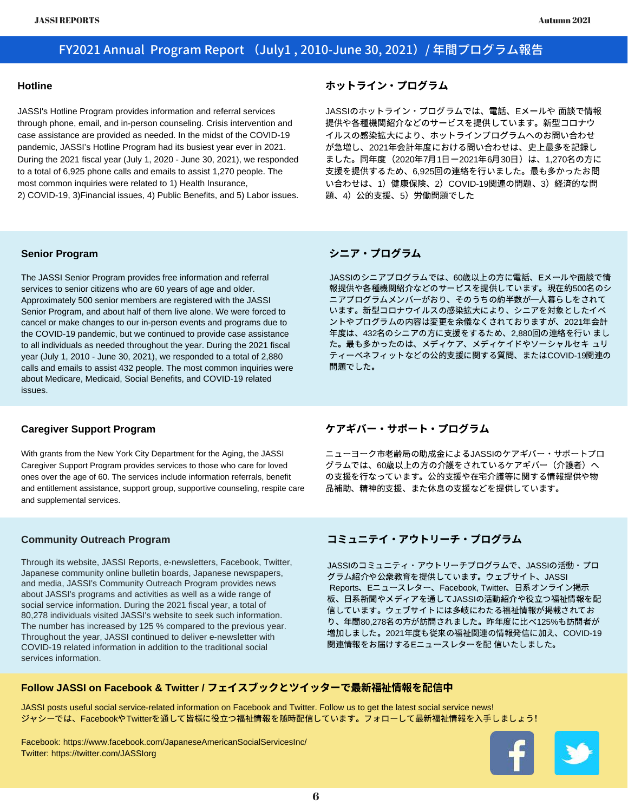### FY2021 Annual Program Report (July1 , 2010-June 30, 2021)/ 年間プログラム報告

#### **Hotline**

JASSI's Hotline Program provides information and referral services through phone, email, and in-person counseling. Crisis intervention and case assistance are provided as needed. In the midst of the COVID-19 pandemic, JASSI's Hotline Program had its busiest year ever in 2021. During the 2021 fiscal year (July 1, 2020 - June 30, 2021), we responded to a total of 6,925 phone calls and emails to assist 1,270 people. The most common inquiries were related to 1) Health Insurance, 2) COVID-19, 3)Financial issues, 4) Public Benefits, and 5) Labor issues.

#### ホットライン・プログラム

JASSIのホットライン・プログラムでは、電話、Eメールや ⾯談で情報 提供や各種機関紹介などのサービスを提供しています。新型コロナウ イルスの感染拡⼤により、ホットラインプログラムへのお問い合わせ が急増し、2021年会計年度における問い合わせは、史上最多を記録し ました。同年度(2020年7⽉1⽇ー2021年6⽉30⽇)は、1,270名の⽅に 支援を提供するため、6,925回の連絡を行いました。最も多かったお問 い合わせは、1)健康保険、2)COVID-19関連の問題、3)経済的な問 題、4) 公的支援、5) 労働問題でした

#### **Senior Program**

The JASSI Senior Program provides free information and referral services to senior citizens who are 60 years of age and older. Approximately 500 senior members are registered with the JASSI Senior Program, and about half of them live alone. We were forced to cancel or make changes to our in-person events and programs due to the COVID-19 pandemic, but we continued to provide case assistance to all individuals as needed throughout the year. During the 2021 fiscal year (July 1, 2010 - June 30, 2021), we responded to a total of 2,880 calls and emails to assist 432 people. The most common inquiries were about Medicare, Medicaid, Social Benefits, and COVID-19 related issues.

#### シニア・プログラム

JASSIのシニアプログラムでは、60歳以上の方に電話、Eメールや面談で情 報提供や各種機関紹介などのサービスを提供しています。現在約500名のシ ニアプログラムメンバーがおり、そのうちの約半数が⼀⼈暮らしをされて います。新型コロナウイルスの感染拡⼤により、シニアを対象としたイベ ントやプログラムの内容は変更を余儀なくされておりますが、2021年会計 年度は、432名のシニアの方に支援をするため、2,880回の連絡を行い まし た。最も多かったのは、メディケア、メディケイドやソーシャルセキ ュリ ティーベネフィットなどの公的支援に関する質問、またはCOVID-19関連の 問題でした。

#### **Caregiver Support Program**

With grants from the New York City Department for the Aging, the JASSI Caregiver Support Program provides services to those who care for loved ones over the age of 60. The services include information referrals, benefit and entitlement assistance, support group, supportive counseling, respite care and supplemental services.

#### **Community Outreach Program**

Through its website, JASSI Reports, e-newsletters, Facebook, Twitter, Japanese community online bulletin boards, Japanese newspapers, and media, JASSI's Community Outreach Program provides news about JASSI's programs and activities as well as a wide range of social service information. During the 2021 fiscal year, a total of 80,278 individuals visited JASSI's website to seek such information. The number has increased by 125 % compared to the previous year. Throughout the year, JASSI continued to deliver e-newsletter with COVID-19 related information in addition to the traditional social services information.

### ケアギバー・サポート・プログラム

ニューヨーク市老齢局の助成金によるJASSIのケアギバー・サポートプロ グラムでは、60歳以上の方の介護をされているケアギバー(介護者)へ の支援を行なっています。公的支援や在宅介護等に関する情報提供や物 品補助、精神的支援、また休息の支援などを提供しています。

#### コミュニテイ・アウトリーチ・プログラム

JASSIのコミュニティ・アウトリーチプログラムで、JASSIの活動・プロ グラム紹介や公衆教育を提供しています。ウェブサイト、JASSI Reports、Eニュースレター、Facebook, Twitter、日系オンライン掲示 板、日系新聞やメディアを通してJASSIの活動紹介や役立つ福祉情報を配 信しています。ウェブサイトには多岐にわたる福祉情報が掲載されてお り、年間80,278名の方が訪問されました。昨年度に比べ125%も訪問者が 増加しました。2021年度も従来の福祉関連の情報発信に加え、COVID-19 関連情報をお届けするEニュースレターを配 信いたしました。

#### **Follow JASSI on Facebook & Twitter /** フェイスブックとツイッターで最新福祉情報を配信中

JASSI posts useful social service-related information on Facebook and Twitter. Follow us to get the latest social service news! ジャシーでは、FacebookやTwitterを通して皆様に役立つ福祉情報を随時配信しています。フォローして最新福祉情報を入手しましょう!

Facebook: https://www.facebook.com/JapaneseAmericanSocialServicesInc/ Twitter: https://twitter.com/JASSIorg

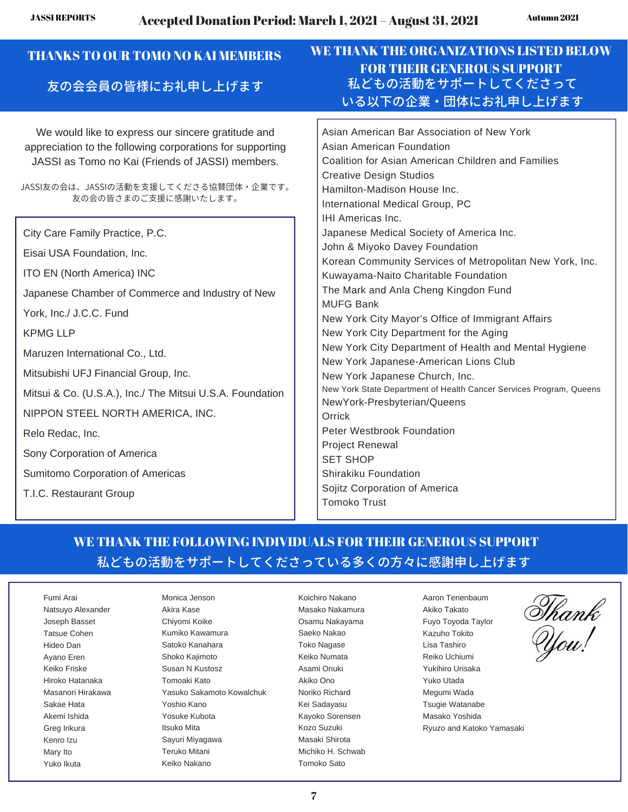| <b>THANKS TO OUR TOMO NO KAI MEMBERS</b><br>友の会会員の皆様にお礼申し上げます                                                                                                                                                                                                                                                                                                                                                                                                                                                                                                                                                                                                                                                                       | WE THANK THE ORGANIZATIONS LISTED BELOW<br><b>FOR THEIR GENEROUS SUPPORT</b><br>私どもの活動をサポートしてくださって<br>いる以下の企業・団体にお礼申し上げます                                                                                                                                                                                                                                                                                                                                                                                                                                                                                                                                                                                                                                                                                                                                                                                                                                                                                          |
|-------------------------------------------------------------------------------------------------------------------------------------------------------------------------------------------------------------------------------------------------------------------------------------------------------------------------------------------------------------------------------------------------------------------------------------------------------------------------------------------------------------------------------------------------------------------------------------------------------------------------------------------------------------------------------------------------------------------------------------|--------------------------------------------------------------------------------------------------------------------------------------------------------------------------------------------------------------------------------------------------------------------------------------------------------------------------------------------------------------------------------------------------------------------------------------------------------------------------------------------------------------------------------------------------------------------------------------------------------------------------------------------------------------------------------------------------------------------------------------------------------------------------------------------------------------------------------------------------------------------------------------------------------------------------------------------------------------------------------------------------------------------|
| We would like to express our sincere gratitude and<br>appreciation to the following corporations for supporting<br>JASSI as Tomo no Kai (Friends of JASSI) members.<br>JASSI友の会は、JASSIの活動を支援してくださる協賛団体・企業です。<br>友の会の皆さまのご支援に感謝いたします。<br>City Care Family Practice, P.C.<br>Eisai USA Foundation, Inc.<br>ITO EN (North America) INC<br>Japanese Chamber of Commerce and Industry of New<br>York, Inc./ J.C.C. Fund<br><b>KPMG LLP</b><br>Maruzen International Co., Ltd.<br>Mitsubishi UFJ Financial Group, Inc.<br>Mitsui & Co. (U.S.A.), Inc./ The Mitsui U.S.A. Foundation<br>NIPPON STEEL NORTH AMERICA, INC.<br>Relo Redac, Inc.<br>Sony Corporation of America<br>Sumitomo Corporation of Americas<br>T.I.C. Restaurant Group | Asian American Bar Association of New York<br>Asian American Foundation<br>Coalition for Asian American Children and Families<br><b>Creative Design Studios</b><br>Hamilton-Madison House Inc.<br>International Medical Group, PC<br>IHI Americas Inc.<br>Japanese Medical Society of America Inc.<br>John & Miyoko Davey Foundation<br>Korean Community Services of Metropolitan New York, Inc.<br>Kuwayama-Naito Charitable Foundation<br>The Mark and Anla Cheng Kingdon Fund<br><b>MUFG Bank</b><br>New York City Mayor's Office of Immigrant Affairs<br>New York City Department for the Aging<br>New York City Department of Health and Mental Hygiene<br>New York Japanese-American Lions Club<br>New York Japanese Church, Inc.<br>New York State Department of Health Cancer Services Program, Queens<br>NewYork-Presbyterian/Queens<br>Orrick<br>Peter Westbrook Foundation<br><b>Project Renewal</b><br><b>SET SHOP</b><br>Shirakiku Foundation<br>Sojitz Corporation of America<br><b>Tomoko Trust</b> |

### WE THANK THE FOLLOWING INDIVIDUALS FOR THEIR GENEROUS SUPPORT 私どもの活動をサポートしてくださっている多くの方々に感謝申し上げます

Fumi Arai Natsuyo Alexander Joseph Basset Tatsue Cohen Hideo Dan Ayano Eren Keiko Friske Hiroko Hatanaka Masanori Hirakawa Sakae Hata Akemi Ishida Greg Irikura Kenro Izu Mary Ito Yuko Ikuta

Monica Jenson Akira Kase Chiyomi Koike Kumiko Kawamura Satoko Kanahara Shoko Kajimoto Susan N Kustosz Tomoaki Kato Yasuko Sakamoto Kowalchuk Yoshio Kano Yosuke Kubota Itsuko Mita Sayuri Miyagawa Teruko Mitani Keiko Nakano

Koichiro Nakano Masako Nakamura Osamu Nakayama Saeko Nakao Toko Nagase Keiko Numata Asami Onuki Akiko Ono Noriko Richard Kei Sadayasu Kayoko Sorensen Kozo Suzuki Masaki Shirota Michiko H. Schwab Tomoko Sato

Aaron Tenenbaum Akiko Takato Fuyo Toyoda Taylor Kazuho Tokito Lisa Tashiro Reiko Uchiumi Yukihiro Urisaka Yuko Utada Megumi Wada Tsugie Watanabe Masako Yoshida Ryuzo and Katoko Yamasaki

Thank<br>You!